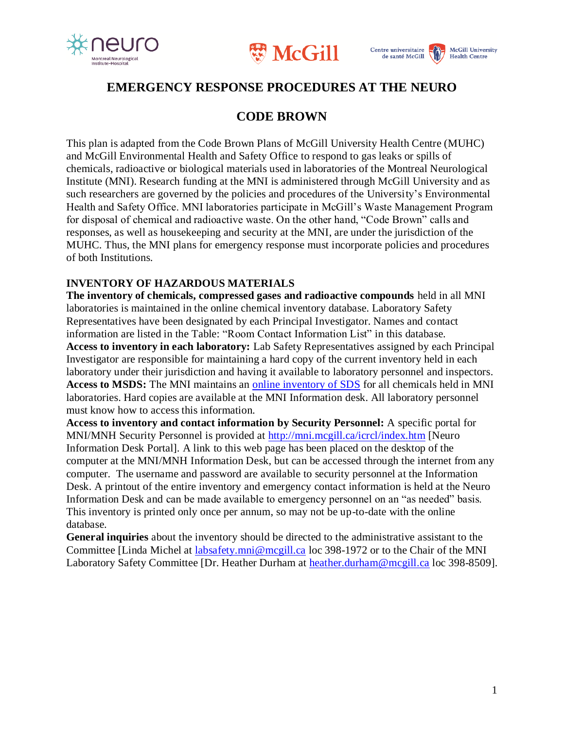





## **EMERGENCY RESPONSE PROCEDURES AT THE NEURO**

### **CODE BROWN**

This plan is adapted from the Code Brown Plans of McGill University Health Centre (MUHC) and McGill Environmental Health and Safety Office to respond to gas leaks or spills of chemicals, radioactive or biological materials used in laboratories of the Montreal Neurological Institute (MNI). Research funding at the MNI is administered through McGill University and as such researchers are governed by the policies and procedures of the University's Environmental Health and Safety Office. MNI laboratories participate in McGill's Waste Management Program for disposal of chemical and radioactive waste. On the other hand, "Code Brown" calls and responses, as well as housekeeping and security at the MNI, are under the jurisdiction of the MUHC. Thus, the MNI plans for emergency response must incorporate policies and procedures of both Institutions.

#### **INVENTORY OF HAZARDOUS MATERIALS**

**The inventory of chemicals, compressed gases and radioactive compounds** held in all MNI laboratories is maintained in the online chemical inventory database. Laboratory Safety Representatives have been designated by each Principal Investigator. Names and contact information are listed in the Table: "Room Contact Information List" in this database. **Access to inventory in each laboratory:** Lab Safety Representatives assigned by each Principal Investigator are responsible for maintaining a hard copy of the current inventory held in each laboratory under their jurisdiction and having it available to laboratory personnel and inspectors. Access to MSDS: The MNI maintains an **online inventory of SDS** for all chemicals held in MNI laboratories. Hard copies are available at the MNI Information desk. All laboratory personnel must know how to access this information.

**Access to inventory and contact information by Security Personnel:** A specific portal for MNI/MNH Security Personnel is provided at<http://mni.mcgill.ca/icrcl/index.htm> [Neuro Information Desk Portal]. A link to this web page has been placed on the desktop of the computer at the MNI/MNH Information Desk, but can be accessed through the internet from any computer. The username and password are available to security personnel at the Information Desk. A printout of the entire inventory and emergency contact information is held at the Neuro Information Desk and can be made available to emergency personnel on an "as needed" basis. This inventory is printed only once per annum, so may not be up-to-date with the online database.

**General inquiries** about the inventory should be directed to the administrative assistant to the Committee [Linda Michel at [labsafety.mni@mcgill.ca](mailto:labsafety.mni@mcgill.ca) loc 398-1972 or to the Chair of the MNI Laboratory Safety Committee [Dr. Heather Durham at [heather.durham@mcgill.ca](mailto:heather.durham@mcgill.ca) loc 398-8509].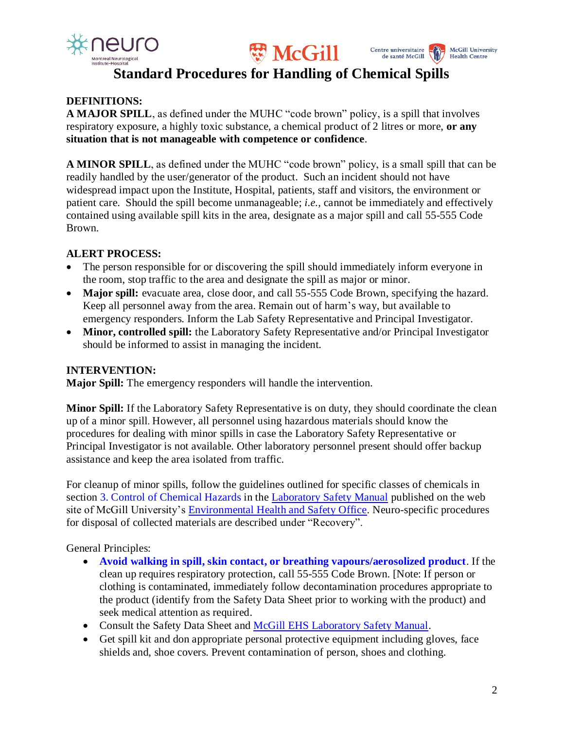





## **Standard Procedures for Handling of Chemical Spills**

### **DEFINITIONS:**

**A MAJOR SPILL**, as defined under the MUHC "code brown" policy, is a spill that involves respiratory exposure, a highly toxic substance, a chemical product of 2 litres or more, **or any situation that is not manageable with competence or confidence**.

**A MINOR SPILL**, as defined under the MUHC "code brown" policy, is a small spill that can be readily handled by the user/generator of the product. Such an incident should not have widespread impact upon the Institute, Hospital, patients, staff and visitors, the environment or patient care. Should the spill become unmanageable; *i.e.,* cannot be immediately and effectively contained using available spill kits in the area, designate as a major spill and call 55-555 Code Brown.

### **ALERT PROCESS:**

- The person responsible for or discovering the spill should immediately inform everyone in the room, stop traffic to the area and designate the spill as major or minor.
- **Major spill:** evacuate area, close door, and call 55-555 Code Brown, specifying the hazard. Keep all personnel away from the area. Remain out of harm's way, but available to emergency responders. Inform the Lab Safety Representative and Principal Investigator.
- **Minor, controlled spill:** the Laboratory Safety Representative and/or Principal Investigator should be informed to assist in managing the incident.

### **INTERVENTION:**

**Major Spill:** The emergency responders will handle the intervention.

**Minor Spill:** If the Laboratory Safety Representative is on duty, they should coordinate the clean up of a minor spill. However, all personnel using hazardous materials should know the procedures for dealing with minor spills in case the Laboratory Safety Representative or Principal Investigator is not available. Other laboratory personnel present should offer backup assistance and keep the area isolated from traffic.

For cleanup of minor spills, follow the guidelines outlined for specific classes of chemicals in section 3. Control of Chemical Hazards in the [Laboratory Safety Manual](https://www.mcgill.ca/ehs/files/ehs/laboratory_safety_manual_v_2.0.pdf) published on the web site of McGill University's [Environmental Health and Safety Office.](http://www.mcgill.ca/ehs) Neuro-specific procedures for disposal of collected materials are described under "Recovery".

General Principles:

- **Avoid walking in spill, skin contact, or breathing vapours/aerosolized product**. If the clean up requires respiratory protection, call 55-555 Code Brown. [Note: If person or clothing is contaminated, immediately follow decontamination procedures appropriate to the product (identify from the Safety Data Sheet prior to working with the product) and seek medical attention as required.
- Consult the Safety Data Sheet and [McGill EHS Laboratory Safety Manual.](https://www.mcgill.ca/ehs/files/ehs/laboratory_safety_manual_v_2.0.pdf)
- Get spill kit and don appropriate personal protective equipment including gloves, face shields and, shoe covers. Prevent contamination of person, shoes and clothing.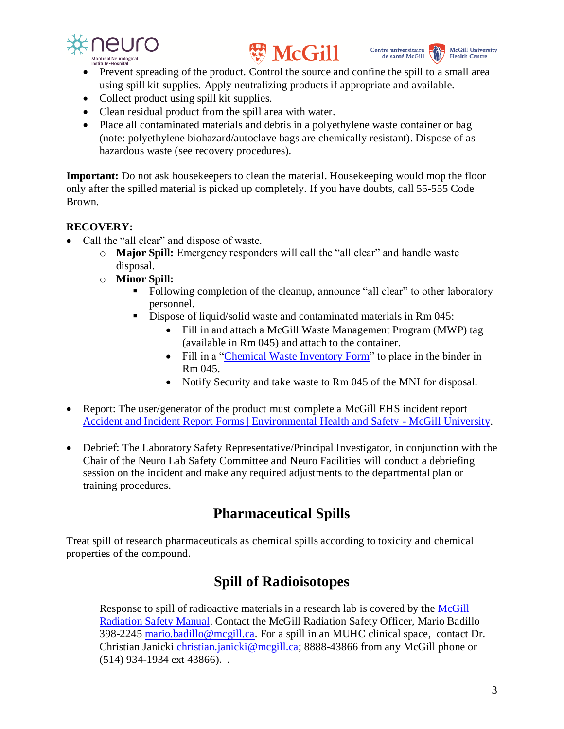





- Prevent spreading of the product. Control the source and confine the spill to a small area using spill kit supplies. Apply neutralizing products if appropriate and available.
- Collect product using spill kit supplies.
- Clean residual product from the spill area with water.
- Place all contaminated materials and debris in a polyethylene waste container or bag (note: polyethylene biohazard/autoclave bags are chemically resistant). Dispose of as hazardous waste (see recovery procedures).

**Important:** Do not ask housekeepers to clean the material. Housekeeping would mop the floor only after the spilled material is picked up completely. If you have doubts, call 55-555 Code Brown.

#### **RECOVERY:**

- Call the "all clear" and dispose of waste.
	- o **Major Spill:** Emergency responders will call the "all clear" and handle waste disposal.
	- o **Minor Spill:** 
		- Following completion of the cleanup, announce "all clear" to other laboratory personnel.
		- Dispose of liquid/solid waste and contaminated materials in Rm 045:
			- Fill in and attach a McGill Waste Management Program (MWP) tag (available in Rm 045) and attach to the container.
			- Fill in a ["Chemical Waste Inventory Form"](https://view.officeapps.live.com/op/view.aspx?src=https%3A%2F%2Fwww.mcgill.ca%2Fneuro%2Ffiles%2Fneuro%2Fchemicalwasteinventoryform.doc&wdOrigin=BROWSELINK) to place in the binder in Rm 045.
			- Notify Security and take waste to Rm 045 of the MNI for disposal.
- Report: The user/generator of the product must complete a McGill EHS incident report [Accident and Incident Report Forms | Environmental Health and Safety -](https://www.mcgill.ca/ehs/forms/forms/accident-and-incident-report) McGill University.
- Debrief: The Laboratory Safety Representative/Principal Investigator, in conjunction with the Chair of the Neuro Lab Safety Committee and Neuro Facilities will conduct a debriefing session on the incident and make any required adjustments to the departmental plan or training procedures.

# **Pharmaceutical Spills**

Treat spill of research pharmaceuticals as chemical spills according to toxicity and chemical properties of the compound.

## **Spill of Radioisotopes**

Response to spill of radioactive materials in a research lab is covered by the [McGill](https://www.mcgill.ca/ehs/laboratory/radiation) [Radiation Safety Manual.](https://www.mcgill.ca/ehs/laboratory/radiation) Contact the McGill Radiation Safety Officer, Mario Badillo 398-2245 [mario.badillo@mcgill.ca.](mailto:mario.badillo@mcgill.ca) For a spill in an MUHC clinical space, contact Dr. Christian Janicki [christian.janicki@mcgill.ca;](mailto:christian.janicki@mcgill.ca) 8888-43866 from any McGill phone or (514) 934-1934 ext 43866). .